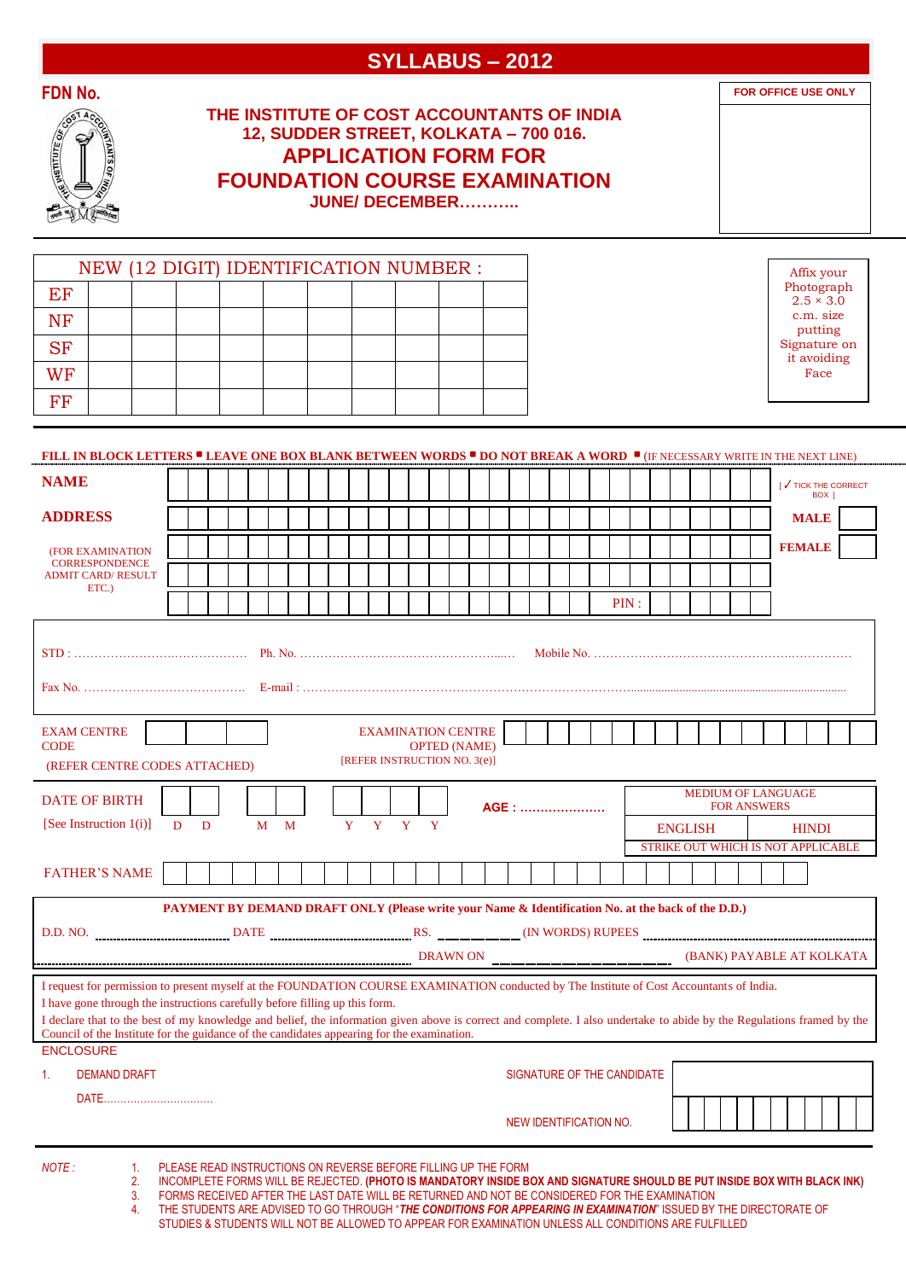# **SYLLABUS – 2012**

**FOR OFFICE USE ONLY**

|                 | <b>COUNTAINES OF</b> |
|-----------------|----------------------|
| <b>TURITION</b> |                      |
|                 |                      |

# **THE INSTITUTE OF COST ACCOUNTANTS OF INDIA 12, SUDDER STREET, KOLKATA – 700 016. APPLICATION FORM FOR FOUNDATION COURSE EXAMINATION JUNE/ DECEMBER………..**

NEW (12 DIGIT) IDENTIFICATION NUMBER : **EF** NF SF **WF** FF Affix your Photograph  $2.5 \times 3.0$ c.m. size putting Signature on it avoiding Face

# **FILL IN BLOCK LETTERS • LEAVE ONE BOX BLANK BETWEEN WORDS • DO NOT BREAK A WORD •** (IF NECESSARY WRITE IN THE NEXT LINE)

| <b>NAME</b>                                                                                                                                                                                                                                                                                                                                                                                                                                                                                                                                                    |                                                                                                                                                                                                                                                                                             |   |  |   |   |  |              |                                                           |   |                     |   |  |                        |  |  |                            |                                                                      |  |  |  |  |  | [√ TICK THE CORRECT<br>BOX 1 |  |  |
|----------------------------------------------------------------------------------------------------------------------------------------------------------------------------------------------------------------------------------------------------------------------------------------------------------------------------------------------------------------------------------------------------------------------------------------------------------------------------------------------------------------------------------------------------------------|---------------------------------------------------------------------------------------------------------------------------------------------------------------------------------------------------------------------------------------------------------------------------------------------|---|--|---|---|--|--------------|-----------------------------------------------------------|---|---------------------|---|--|------------------------|--|--|----------------------------|----------------------------------------------------------------------|--|--|--|--|--|------------------------------|--|--|
| <b>ADDRESS</b>                                                                                                                                                                                                                                                                                                                                                                                                                                                                                                                                                 |                                                                                                                                                                                                                                                                                             |   |  |   |   |  |              |                                                           |   |                     |   |  |                        |  |  |                            |                                                                      |  |  |  |  |  | <b>MALE</b>                  |  |  |
| (FOR EXAMINATION                                                                                                                                                                                                                                                                                                                                                                                                                                                                                                                                               |                                                                                                                                                                                                                                                                                             |   |  |   |   |  |              |                                                           |   |                     |   |  |                        |  |  |                            |                                                                      |  |  |  |  |  | <b>FEMALE</b>                |  |  |
| <b>CORRESPONDENCE</b><br><b>ADMIT CARD/ RESULT</b>                                                                                                                                                                                                                                                                                                                                                                                                                                                                                                             |                                                                                                                                                                                                                                                                                             |   |  |   |   |  |              |                                                           |   |                     |   |  |                        |  |  |                            |                                                                      |  |  |  |  |  |                              |  |  |
| ETC.                                                                                                                                                                                                                                                                                                                                                                                                                                                                                                                                                           |                                                                                                                                                                                                                                                                                             |   |  |   |   |  |              |                                                           |   |                     |   |  |                        |  |  | PIN:                       |                                                                      |  |  |  |  |  |                              |  |  |
|                                                                                                                                                                                                                                                                                                                                                                                                                                                                                                                                                                |                                                                                                                                                                                                                                                                                             |   |  |   |   |  |              |                                                           |   |                     |   |  |                        |  |  |                            |                                                                      |  |  |  |  |  |                              |  |  |
| <b>EXAM CENTRE</b><br><b>CODE</b><br>(REFER CENTRE CODES ATTACHED)                                                                                                                                                                                                                                                                                                                                                                                                                                                                                             |                                                                                                                                                                                                                                                                                             |   |  |   |   |  |              | <b>EXAMINATION CENTRE</b><br>[REFER INSTRUCTION NO. 3(e)] |   | <b>OPTED (NAME)</b> |   |  |                        |  |  |                            |                                                                      |  |  |  |  |  |                              |  |  |
| <b>DATE OF BIRTH</b>                                                                                                                                                                                                                                                                                                                                                                                                                                                                                                                                           | <b>MEDIUM OF LANGUAGE</b><br><b>FOR ANSWERS</b><br>AGE:                                                                                                                                                                                                                                     |   |  |   |   |  |              |                                                           |   |                     |   |  |                        |  |  |                            |                                                                      |  |  |  |  |  |                              |  |  |
| [See Instruction $1(i)$ ]                                                                                                                                                                                                                                                                                                                                                                                                                                                                                                                                      | D                                                                                                                                                                                                                                                                                           | D |  | M | M |  | $\mathbf{Y}$ | $\mathbf{Y}$                                              | Y |                     | Y |  |                        |  |  |                            | <b>ENGLISH</b><br><b>HINDI</b><br>STRIKE OUT WHICH IS NOT APPLICABLE |  |  |  |  |  |                              |  |  |
| <b>FATHER'S NAME</b>                                                                                                                                                                                                                                                                                                                                                                                                                                                                                                                                           |                                                                                                                                                                                                                                                                                             |   |  |   |   |  |              |                                                           |   |                     |   |  |                        |  |  |                            |                                                                      |  |  |  |  |  |                              |  |  |
|                                                                                                                                                                                                                                                                                                                                                                                                                                                                                                                                                                | PAYMENT BY DEMAND DRAFT ONLY (Please write your Name & Identification No. at the back of the D.D.)<br>D.D. NO. <b>WILLIAM CONTRACT DEATE DATE DATE NETERITY ASSES NETERITY (IN WORDS) RUPEES CONTRACT ASSESS</b>                                                                            |   |  |   |   |  |              |                                                           |   |                     |   |  |                        |  |  |                            |                                                                      |  |  |  |  |  |                              |  |  |
|                                                                                                                                                                                                                                                                                                                                                                                                                                                                                                                                                                |                                                                                                                                                                                                                                                                                             |   |  |   |   |  |              |                                                           |   |                     |   |  |                        |  |  |                            |                                                                      |  |  |  |  |  |                              |  |  |
| <u>n DRAWN ON A Communication (BANK) PAYABLE AT KOLKATA</u><br>I request for permission to present myself at the FOUNDATION COURSE EXAMINATION conducted by The Institute of Cost Accountants of India.<br>I have gone through the instructions carefully before filling up this form.<br>I declare that to the best of my knowledge and belief, the information given above is correct and complete. I also undertake to abide by the Regulations framed by the<br>Council of the Institute for the guidance of the candidates appearing for the examination. |                                                                                                                                                                                                                                                                                             |   |  |   |   |  |              |                                                           |   |                     |   |  |                        |  |  |                            |                                                                      |  |  |  |  |  |                              |  |  |
| <b>ENCLOSURE</b><br>1 <sub>1</sub><br><b>DEMAND DRAFT</b>                                                                                                                                                                                                                                                                                                                                                                                                                                                                                                      |                                                                                                                                                                                                                                                                                             |   |  |   |   |  |              |                                                           |   |                     |   |  |                        |  |  | SIGNATURE OF THE CANDIDATE |                                                                      |  |  |  |  |  |                              |  |  |
| DATE                                                                                                                                                                                                                                                                                                                                                                                                                                                                                                                                                           |                                                                                                                                                                                                                                                                                             |   |  |   |   |  |              |                                                           |   |                     |   |  | NEW IDENTIFICATION NO. |  |  |                            |                                                                      |  |  |  |  |  |                              |  |  |
| NOTE :<br>1 <sub>1</sub><br>2.                                                                                                                                                                                                                                                                                                                                                                                                                                                                                                                                 | PLEASE READ INSTRUCTIONS ON REVERSE BEFORE FILLING UP THE FORM<br>INCOMPLETE FORMS WILL BE REJECTED. (PHOTO IS MANDATORY INSIDE BOX AND SIGNATURE SHOULD BE PUT INSIDE BOX WITH BLACK INK)<br>CODMO DECENIED AFTER THE LACT DATE WILL BE DETHRUED AND MOT BE COMOIDEDED FOR THE EVAMINATION |   |  |   |   |  |              |                                                           |   |                     |   |  |                        |  |  |                            |                                                                      |  |  |  |  |  |                              |  |  |

- - 3. FORMS RECEIVED AFTER THE LAST DATE WILL BE RETURNED AND NOT BE CONSIDERED FOR THE EXAMINATION<br>4. THE STUDENTS ARE ADVISED TO GO THROUGH "**THE CONDITIONS FOR APPEARING IN EXAMINATION**" ISSUED BY 4. THE STUDENTS ARE ADVISED TO GO THROUGH "*THE CONDITIONS FOR APPEARING IN EXAMINATION*" ISSUED BY THE DIRECTORATE OF STUDIES & STUDENTS WILL NOT BE ALLOWED TO APPEAR FOR EXAMINATION UNLESS ALL CONDITIONS ARE FULFILLED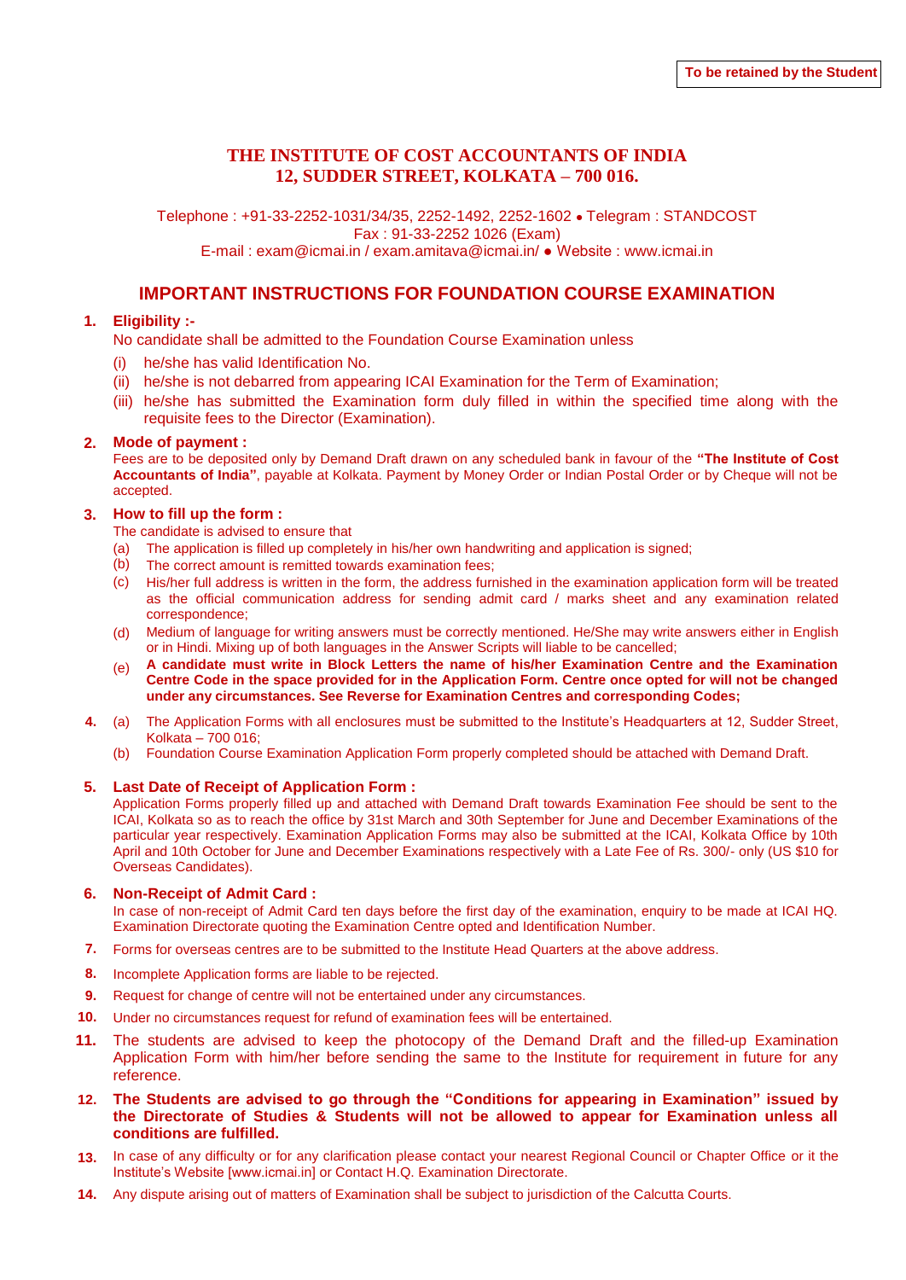### **THE INSTITUTE OF COST ACCOUNTANTS OF INDIA 12, SUDDER STREET, KOLKATA – 700 016.**

Telephone : +91-33-2252-1031/34/35, 2252-1492, 2252-1602 ● Telegram : STANDCOST Fax : 91-33-2252 1026 (Exam) E-mail : exam@icmai.in / exam.amitava@icmai.in/ ● Website : www.icmai.in

## **IMPORTANT INSTRUCTIONS FOR FOUNDATION COURSE EXAMINATION**

### **1. Eligibility :-**

No candidate shall be admitted to the Foundation Course Examination unless

- he/she has valid Identification No.
- (ii) he/she is not debarred from appearing ICAI Examination for the Term of Examination;
- (iii) he/she has submitted the Examination form duly filled in within the specified time along with the requisite fees to the Director (Examination).

#### **2. Mode of payment :**

Fees are to be deposited only by Demand Draft drawn on any scheduled bank in favour of the **"The Institute of Cost Accountants of India"**, payable at Kolkata. Payment by Money Order or Indian Postal Order or by Cheque will not be accepted.

#### **3. How to fill up the form :**

The candidate is advised to ensure that

- (a) The application is filled up completely in his/her own handwriting and application is signed;
- (b) The correct amount is remitted towards examination fees;
- $(c)$ His/her full address is written in the form, the address furnished in the examination application form will be treated as the official communication address for sending admit card / marks sheet and any examination related correspondence;
- (d) Medium of language for writing answers must be correctly mentioned. He/She may write answers either in English or in Hindi. Mixing up of both languages in the Answer Scripts will liable to be cancelled;
- (e) **A candidate must write in Block Letters the name of his/her Examination Centre and the Examination Centre Code in the space provided for in the Application Form. Centre once opted for will not be changed under any circumstances. See Reverse for Examination Centres and corresponding Codes;**
- **4.** (a) The Application Forms with all enclosures must be submitted to the Institute's Headquarters at 12, Sudder Street, Kolkata – 700 016;
	- (b) Foundation Course Examination Application Form properly completed should be attached with Demand Draft.

#### **5. Last Date of Receipt of Application Form :**

Application Forms properly filled up and attached with Demand Draft towards Examination Fee should be sent to the ICAI, Kolkata so as to reach the office by 31st March and 30th September for June and December Examinations of the particular year respectively. Examination Application Forms may also be submitted at the ICAI, Kolkata Office by 10th April and 10th October for June and December Examinations respectively with a Late Fee of Rs. 300/- only (US \$10 for Overseas Candidates).

#### **6. Non-Receipt of Admit Card :**

In case of non-receipt of Admit Card ten days before the first day of the examination, enquiry to be made at ICAI HQ. Examination Directorate quoting the Examination Centre opted and Identification Number.

- **7.** Forms for overseas centres are to be submitted to the Institute Head Quarters at the above address.
- **8.** Incomplete Application forms are liable to be rejected.
- **9.** Request for change of centre will not be entertained under any circumstances.
- **10.** Under no circumstances request for refund of examination fees will be entertained.
- **11.** The students are advised to keep the photocopy of the Demand Draft and the filled-up Examination Application Form with him/her before sending the same to the Institute for requirement in future for any reference.
- **12. The Students are advised to go through the "Conditions for appearing in Examination" issued by the Directorate of Studies & Students will not be allowed to appear for Examination unless all conditions are fulfilled.**
- **13.** In case of any difficulty or for any clarification please contact your nearest Regional Council or Chapter Office or it the Institute's Website [www.icmai.in] or Contact H.Q. Examination Directorate.
- **14.** Any dispute arising out of matters of Examination shall be subject to jurisdiction of the Calcutta Courts.